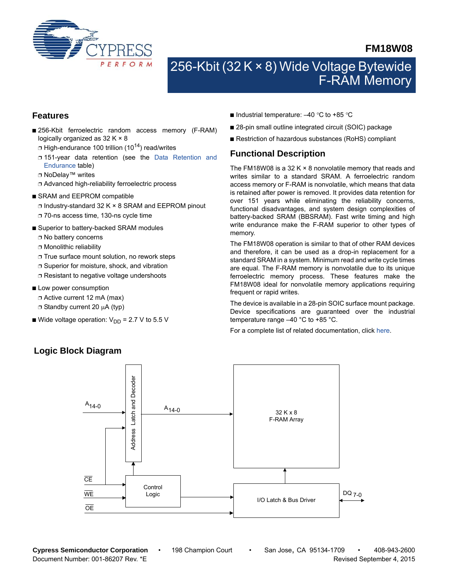

## **FM18W08**

# 256-Kbit (32 K × 8) Wide Voltage Bytewide F-RAM Memory

#### **Features**

- 256-Kbit ferroelectric random access memory (F-RAM) logically organized as 32 K × 8
	- $\Box$  High-endurance 100 trillion (10<sup>14</sup>) read/writes
	- ❐ 151-year data retention (see the [Data Retention and](#page-6-0) [Endurance](#page-6-0) table)
	- ❐ NoDelay™ writes
	- ❐ Advanced high-reliability ferroelectric process
- SRAM and EEPROM compatible
	- ❐ Industry-standard 32 K × 8 SRAM and EEPROM pinout
	- ❐ 70-ns access time, 130-ns cycle time
- Superior to battery-backed SRAM modules
	- ❐ No battery concerns
	- ❐ Monolithic reliability
	- ❐ True surface mount solution, no rework steps
	- ❐ Superior for moisture, shock, and vibration
	- ❐ Resistant to negative voltage undershoots
- Low power consumption
	- ❐ Active current 12 mA (max)
	- $\Box$  Standby current 20  $\mu$ A (typ)
- Wide voltage operation:  $V_{DD} = 2.7 V$  to 5.5 V
- Industrial temperature:  $-40$  °C to +85 °C
- 28-pin small outline integrated circuit (SOIC) package
- Restriction of hazardous substances (RoHS) compliant

### **Functional Description**

The FM18W08 is a 32 K  $\times$  8 nonvolatile memory that reads and writes similar to a standard SRAM. A ferroelectric random access memory or F-RAM is nonvolatile, which means that data is retained after power is removed. It provides data retention for over 151 years while eliminating the reliability concerns, functional disadvantages, and system design complexities of battery-backed SRAM (BBSRAM). Fast write timing and high write endurance make the F-RAM superior to other types of memory.

The FM18W08 operation is similar to that of other RAM devices and therefore, it can be used as a drop-in replacement for a standard SRAM in a system. Minimum read and write cycle times are equal. The F-RAM memory is nonvolatile due to its unique ferroelectric memory process. These features make the FM18W08 ideal for nonvolatile memory applications requiring frequent or rapid writes.

The device is available in a 28-pin SOIC surface mount package. Device specifications are guaranteed over the industrial temperature range –40 °C to +85 °C.

For a complete list of related documentation, click [here.](http://www.cypress.com/?rID=76564)



### **Logic Block Diagram**

**Cypress Semiconductor Corporation** • 198 Champion Court • San Jose, CA 95134-1709 • 408-943-2600 Document Number: 001-86207 Rev. \*E **Revised September 4, 2015** Nevised September 4, 2015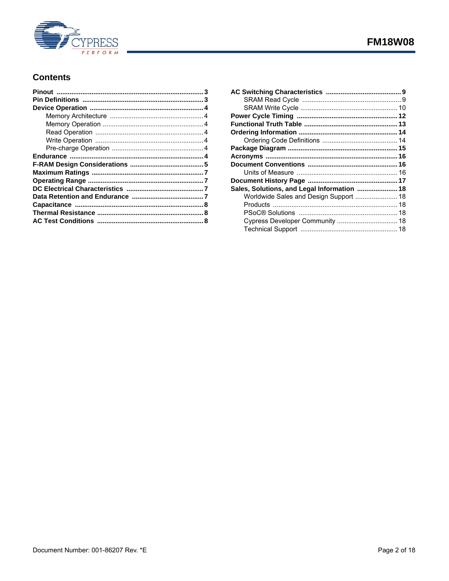

## **FM18W08**

## **Contents**

| Sales, Solutions, and Legal Information  18 |  |
|---------------------------------------------|--|
| Worldwide Sales and Design Support  18      |  |
|                                             |  |
|                                             |  |
|                                             |  |
|                                             |  |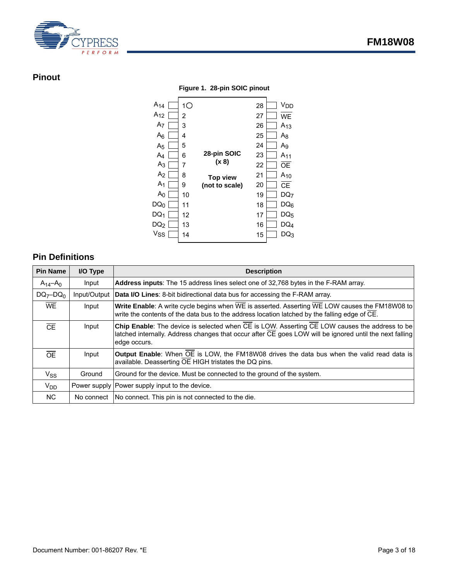

## <span id="page-2-0"></span>**Pinout**

**Figure 1. 28-pin SOIC pinout**



## <span id="page-2-1"></span>**Pin Definitions**

| <b>Pin Name</b> | I/O Type     | <b>Description</b>                                                                                                                                                                                                                    |
|-----------------|--------------|---------------------------------------------------------------------------------------------------------------------------------------------------------------------------------------------------------------------------------------|
| $A_{14} - A_0$  | Input        | Address inputs: The 15 address lines select one of 32,768 bytes in the F-RAM array.                                                                                                                                                   |
| $DQ_7-DQ_0$     | Input/Output | <b>Data I/O Lines:</b> 8-bit bidirectional data bus for accessing the F-RAM array.                                                                                                                                                    |
| <b>WE</b>       | Input        | Write Enable: A write cycle begins when WE is asserted. Asserting WE LOW causes the FM18W08 to<br>write the contents of the data bus to the address location latched by the falling edge of CE.                                       |
| $\overline{CE}$ | Input        | Chip Enable: The device is selected when CE is LOW. Asserting CE LOW causes the address to be<br>latched internally. Address changes that occur after $\overline{CE}$ goes LOW will be ignored until the next falling<br>edge occurs. |
| $\overline{OE}$ | Input        | <b>Output Enable:</b> When OE is LOW, the FM18W08 drives the data bus when the valid read data is<br>available. Deasserting OE HIGH tristates the DQ pins.                                                                            |
| $V_{SS}$        | Ground       | Ground for the device. Must be connected to the ground of the system.                                                                                                                                                                 |
| $V_{DD}$        |              | Power supply   Power supply input to the device.                                                                                                                                                                                      |
| <b>NC</b>       |              | No connect   No connect. This pin is not connected to the die.                                                                                                                                                                        |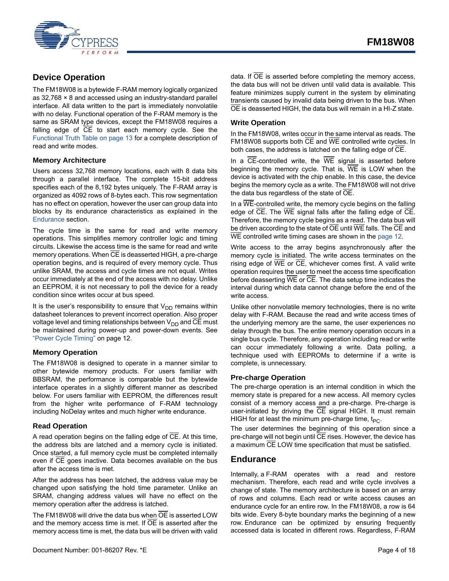

## <span id="page-3-0"></span>**Device Operation**

The FM18W08 is a bytewide F-RAM memory logically organized as 32,768 × 8 and accessed using an industry-standard parallel interface. All data written to the part is immediately nonvolatile with no delay. Functional operation of the F-RAM memory is the same as SRAM type devices, except the FM18W08 requires a falling edge of  $\overline{CE}$  to start each memory cycle. See the [Functional Truth Table on page 13](#page-12-0) for a complete description of read and write modes.

#### <span id="page-3-1"></span>**Memory Architecture**

Users access 32,768 memory locations, each with 8 data bits through a parallel interface. The complete 15-bit address specifies each of the 8,192 bytes uniquely. The F-RAM array is organized as 4092 rows of 8-bytes each. This row segmentation has no effect on operation, however the user can group data into blocks by its endurance characteristics as explained in the [Endurance](#page-3-6) section.

The cycle time is the same for read and write memory operations. This simplifies memory controller logic and timing circuits. Likewise the access time is the same for read and write memory operations. When  $\overline{\text{CE}}$  is deasserted HIGH, a pre-charge operation begins, and is required of every memory cycle. Thus unlike SRAM, the access and cycle times are not equal. Writes occur immediately at the end of the access with no delay. Unlike an EEPROM, it is not necessary to poll the device for a ready condition since writes occur at bus speed.

It is the user's responsibility to ensure that  $V_{DD}$  remains within datasheet tolerances to prevent incorrect operation. Also proper voltage level and timing relationships between  $V_{DD}$  and CE must be maintained during power-up and power-down events. See ["Power Cycle Timing" on page 12.](#page-11-1)

#### <span id="page-3-2"></span>**Memory Operation**

The FM18W08 is designed to operate in a manner similar to other bytewide memory products. For users familiar with BBSRAM, the performance is comparable but the bytewide interface operates in a slightly different manner as described below. For users familiar with EEPROM, the differences result from the higher write performance of F-RAM technology including NoDelay writes and much higher write endurance.

#### <span id="page-3-3"></span>**Read Operation**

A read operation begins on the falling edge of  $\overline{CE}$ . At this time, the address bits are latched and a memory cycle is initiated. Once started, a full memory cycle must be completed internally even if CE goes inactive. Data becomes available on the bus after the access time is met.

After the address has been latched, the address value may be changed upon satisfying the hold time parameter. Unlike an SRAM, changing address values will have no effect on the memory operation after the address is latched.

The FM18W08 will drive the data bus when  $\overline{OE}$  is asserted LOW and the memory access time is met. If  $\overline{OE}$  is asserted after the memory access time is met, the data bus will be driven with valid data. If  $\overline{OE}$  is asserted before completing the memory access, the data bus will not be driven until valid data is available. This feature minimizes supply current in the system by eliminating transients caused by invalid data being driven to the bus. When OE is deasserted HIGH, the data bus will remain in a HI-Z state.

#### <span id="page-3-4"></span>**Write Operation**

In the FM18W08, writes occur in the same interval as reads. The FM18W08 supports both CE and WE controlled write cycles. In both cases, the address is latched on the falling edge of CE.

In a  $\overline{CE}$ -controlled write, the  $\overline{WE}$  signal is asserted before beginning the memory cycle. That is,  $\overline{WE}$  is LOW when the device is activated with the chip enable. In this case, the device begins the memory cycle as a write. The FM18W08 will not drive the data bus regardless of the state of OE.

In a  $\overline{\text{WE}}$ -controlled write, the memory cycle begins on the falling edge of  $\overline{CE}$ . The  $\overline{WE}$  signal falls after the falling edge of  $\overline{CE}$ . Therefore, the memory cycle begins as a read. The data bus will be driven according to the state of  $\overline{OE}$  until  $\overline{WE}$  falls. The  $\overline{CE}$  and WE controlled write timing cases are shown in the [page 12.](#page-11-2)

Write access to the array begins asynchronously after the memory cycle is initiated. The write access terminates on the rising edge of  $\overline{WE}$  or  $\overline{CE}$ , whichever comes first. A valid write operation requires the user to meet the access time specification before deasserting  $\overline{WE}$  or  $\overline{CE}$ . The data setup time indicates the interval during which data cannot change before the end of the write access.

Unlike other nonvolatile memory technologies, there is no write delay with F-RAM. Because the read and write access times of the underlying memory are the same, the user experiences no delay through the bus. The entire memory operation occurs in a single bus cycle. Therefore, any operation including read or write can occur immediately following a write. Data polling, a technique used with EEPROMs to determine if a write is complete, is unnecessary.

#### <span id="page-3-5"></span>**Pre-charge Operation**

The pre-charge operation is an internal condition in which the memory state is prepared for a new access. All memory cycles consist of a memory access and a pre-charge. Pre-charge is user-initiated by driving the CE signal HIGH. It must remain HIGH for at least the minimum pre-charge time,  $t_{PC}$ .

The user determines the beginning of this operation since a pre-charge will not begin until CE rises. However, the device has a maximum CE LOW time specification that must be satisfied.

#### <span id="page-3-6"></span>**Endurance**

Internally, a F-RAM operates with a read and restore mechanism. Therefore, each read and write cycle involves a change of state. The memory architecture is based on an array of rows and columns. Each read or write access causes an endurance cycle for an entire row. In the FM18W08, a row is 64 bits wide. Every 8-byte boundary marks the beginning of a new row. Endurance can be optimized by ensuring frequently accessed data is located in different rows. Regardless, F-RAM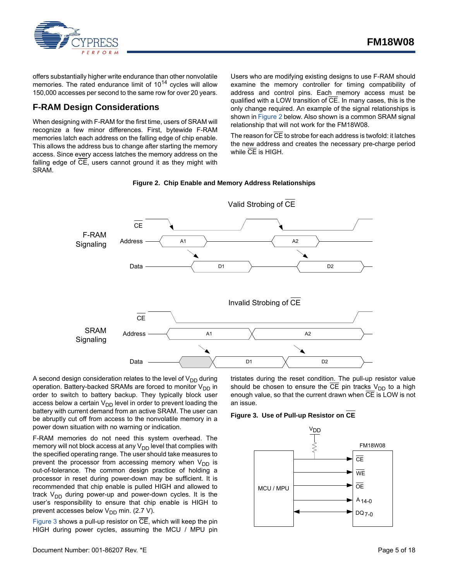

offers substantially higher write endurance than other nonvolatile memories. The rated endurance limit of  $10^{14}$  cycles will allow 150,000 accesses per second to the same row for over 20 years.

## <span id="page-4-0"></span>**F-RAM Design Considerations**

When designing with F-RAM for the first time, users of SRAM will recognize a few minor differences. First, bytewide F-RAM memories latch each address on the falling edge of chip enable. This allows the address bus to change after starting the memory access. Since every access latches the memory address on the falling edge of  $\overline{CE}$ , users cannot ground it as they might with SRAM.

Users who are modifying existing designs to use F-RAM should examine the memory controller for timing compatibility of address and control pins. Each memory access must be qualified with a LOW transition of CE. In many cases, this is the only change required. An example of the signal relationships is shown in [Figure 2](#page-4-2) below. Also shown is a common SRAM signal relationship that will not work for the FM18W08.

The reason for  $\overline{\text{CE}}$  to strobe for each address is twofold: it latches the new address and creates the necessary pre-charge period while CE is HIGH.



<span id="page-4-2"></span>

A second design consideration relates to the level of  $V_{DD}$  during operation. Battery-backed SRAMs are forced to monitor  $V_{DD}$  in order to switch to battery backup. They typically block user access below a certain  $V_{DD}$  level in order to prevent loading the battery with current demand from an active SRAM. The user can be abruptly cut off from access to the nonvolatile memory in a power down situation with no warning or indication.

F-RAM memories do not need this system overhead. The memory will not block access at any V<sub>DD</sub> level that complies with the specified operating range. The user should take measures to prevent the processor from accessing memory when  $V_{DD}$  is out-of-tolerance. The common design practice of holding a processor in reset during power-down may be sufficient. It is recommended that chip enable is pulled HIGH and allowed to track V<sub>DD</sub> during power-up and power-down cycles. It is the user's responsibility to ensure that chip enable is HIGH to prevent accesses below  $V_{DD}$  min. (2.7 V).

[Figure 3](#page-4-1) shows a pull-up resistor on  $\overline{\text{CE}}$ , which will keep the pin HIGH during power cycles, assuming the MCU / MPU pin tristates during the reset condition. The pull-up resistor value should be chosen to ensure the  $\overline{CE}$  pin tracks  $V_{DD}$  to a high enough value, so that the current drawn when CE is LOW is not an issue.

#### <span id="page-4-1"></span>**Figure 3. Use of Pull-up Resistor on CE**

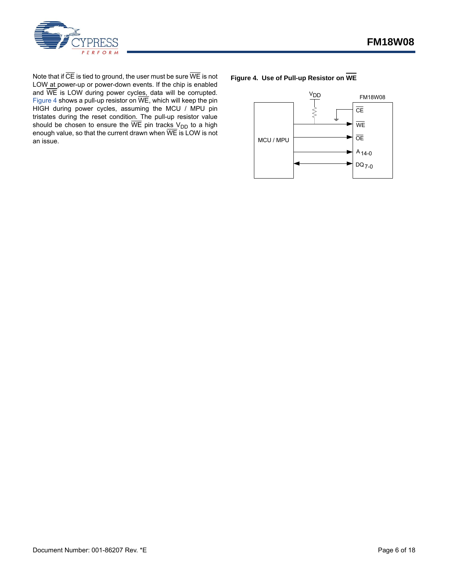

Note that if  $\overline{\text{CE}}$  is tied to ground, the user must be sure  $\overline{\text{WE}}$  is not LOW at power-up or power-down events. If the chip is enabled and WE is LOW during power cycles, data will be corrupted. [Figure 4](#page-5-0) shows a pull-up resistor on WE, which will keep the pin HIGH during power cycles, assuming the MCU / MPU pin tristates during the reset condition. The pull-up resistor value should be chosen to ensure the WE pin trac<u>ks V<sub>DD</sub></u> to a high enough value, so that the current drawn when WE is LOW is not an issue.

<span id="page-5-0"></span>

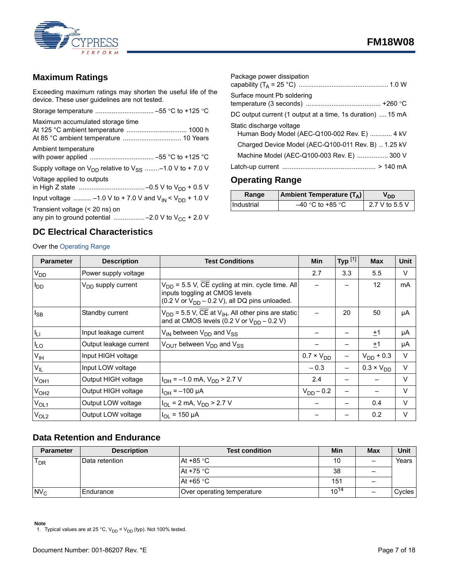

## <span id="page-6-1"></span>**Maximum Ratings**

Exceeding maximum ratings may shorten the useful life of the device. These user guidelines are not tested.

| Maximum accumulated storage time                                                         |
|------------------------------------------------------------------------------------------|
| Ambient temperature                                                                      |
| Supply voltage on $V_{DD}$ relative to $V_{SS}$ -1.0 V to +7.0 V                         |
| Voltage applied to outputs                                                               |
| Input voltage  -1.0 V to + 7.0 V and $V_{IN}$ < $V_{DD}$ + 1.0 V                         |
| Transient voltage (< 20 ns) on<br>any pin to ground potential -2.0 V to $V_{CC}$ + 2.0 V |

## <span id="page-6-3"></span>**DC Electrical Characteristics**

## Over the [Operating Range](#page-6-2)

| Package power dissipation                                                |
|--------------------------------------------------------------------------|
| Surface mount Pb soldering                                               |
| DC output current (1 output at a time, 1s duration)  15 mA               |
| Static discharge voltage<br>Human Body Model (AEC-Q100-002 Rev. E)  4 kV |
| Charged Device Model (AEC-Q100-011 Rev. B)  1.25 kV                      |
| Machine Model (AEC-Q100-003 Rev. E)  300 V                               |
|                                                                          |

## <span id="page-6-2"></span>**Operating Range**

| Range      | <b>Ambient Temperature (T<sub>A</sub>)</b> | חח             |
|------------|--------------------------------------------|----------------|
| Industrial | $-40$ °C to +85 °C                         | 2.7 V to 5.5 V |

| <b>Parameter</b>       | <b>Description</b>             | <b>Test Conditions</b>                                                                                                                             | <b>Min</b>          | Typ $^{[1]}$ | <b>Max</b>          | <b>Unit</b> |
|------------------------|--------------------------------|----------------------------------------------------------------------------------------------------------------------------------------------------|---------------------|--------------|---------------------|-------------|
| V <sub>DD</sub>        | Power supply voltage           |                                                                                                                                                    | 2.7                 | 3.3          | 5.5                 | $\vee$      |
| <b>I</b> <sub>DD</sub> | V <sub>DD</sub> supply current | $V_{DD}$ = 5.5 V, CE cycling at min. cycle time. All<br>inputs toggling at CMOS levels<br>$(0.2 V or VDD - 0.2 V)$ , all DQ pins unloaded.         |                     |              | 12                  | mA          |
| $I_{SB}$               | Standby current                | $V_{DD}$ = 5.5 V, $\overline{CE}$ at V <sub>IH</sub> , All other pins are static<br>and at CMOS levels $(0.2 \text{ V or V}_{DD} - 0.2 \text{ V})$ |                     | 20           | 50                  | μA          |
| $I_{LI}$               | Input leakage current          | $V_{IN}$ between $V_{DD}$ and $V_{SS}$                                                                                                             |                     |              | ±1                  | μA          |
| $I_{LO}$               | Output leakage current         | $V_{\text{OUT}}$ between $V_{\text{DD}}$ and $V_{\text{SS}}$                                                                                       |                     |              | $+1$                | μA          |
| V <sub>IH</sub>        | Input HIGH voltage             |                                                                                                                                                    | $0.7 \times V_{DD}$ |              | $V_{DD}$ + 0.3      | V           |
| $V_{IL}$               | Input LOW voltage              |                                                                                                                                                    | $-0.3$              |              | $0.3 \times V_{DD}$ | $\vee$      |
| V <sub>OH1</sub>       | Output HIGH voltage            | $I_{OH}$ = -1.0 mA, $V_{DD}$ > 2.7 V                                                                                                               | 2.4                 |              |                     | $\vee$      |
| V <sub>OH2</sub>       | Output HIGH voltage            | $IOH = -100 \mu A$                                                                                                                                 | $V_{DD} - 0.2$      |              |                     | V           |
| $V_{OL1}$              | Output LOW voltage             | $I_{OL}$ = 2 mA, $V_{DD}$ > 2.7 V                                                                                                                  |                     |              | 0.4                 | $\vee$      |
| V <sub>OL2</sub>       | Output LOW voltage             | $I_{OL}$ = 150 µA                                                                                                                                  |                     |              | 0.2                 | V           |

## <span id="page-6-0"></span>**Data Retention and Endurance**

| <b>Parameter</b> | <b>Description</b> | <b>Test condition</b>      | Min       | <b>Max</b>               | Unit     |
|------------------|--------------------|----------------------------|-----------|--------------------------|----------|
| ס י F            | Data retention     | At +85 $\degree$ C         | 10        | $\overline{\phantom{m}}$ | Years    |
|                  |                    | At +75 $\degree$ C         | 38        | $\overline{\phantom{0}}$ |          |
|                  |                    | At +65 $\degree$ C         | 151       |                          |          |
| $N_{\rm C}$      | <b>Endurance</b>   | Over operating temperature | $10^{14}$ | $\overline{\phantom{0}}$ | Cycles I |

<span id="page-6-4"></span>**Note**<br>1. Typical values are at 25 °C, V<sub>DD</sub> = V<sub>DD</sub> (typ). Not 100% tested.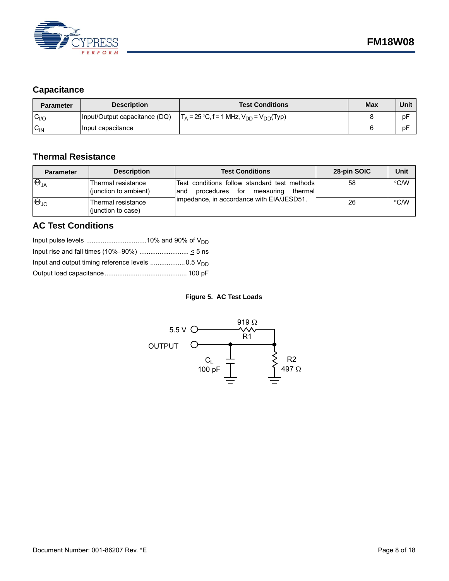

## <span id="page-7-0"></span>**Capacitance**

| <b>Parameter</b> | <b>Description</b>             | <b>Test Conditions</b>                              | <b>Max</b> | Unit |
|------------------|--------------------------------|-----------------------------------------------------|------------|------|
| $C_{1/O}$        | (Input/Output capacitance (DQ) | $T_A$ = 25 °C, f = 1 MHz, $V_{DD}$ = $V_{DD}$ (Typ) |            | рF   |
| $C_{IN}$         | Input capacitance              |                                                     |            | рF   |

## <span id="page-7-1"></span>**Thermal Resistance**

| <b>Parameter</b>     | <b>Description</b>                          | <b>Test Conditions</b>                                                                             | 28-pin SOIC | Unit          |
|----------------------|---------------------------------------------|----------------------------------------------------------------------------------------------------|-------------|---------------|
| $\Theta_{JA}$        | Thermal resistance<br>(junction to ambient) | Test conditions follow standard test methods<br>for<br>thermall<br>procedures<br>measuring<br>land | 58          | $\degree$ C/W |
| $\Theta_{\text{JC}}$ | Thermal resistance<br>(junction to case)    | Impedance, in accordance with EIA/JESD51.                                                          | 26          | $\degree$ C/W |

## <span id="page-7-2"></span>**AC Test Conditions**

#### **Figure 5. AC Test Loads**

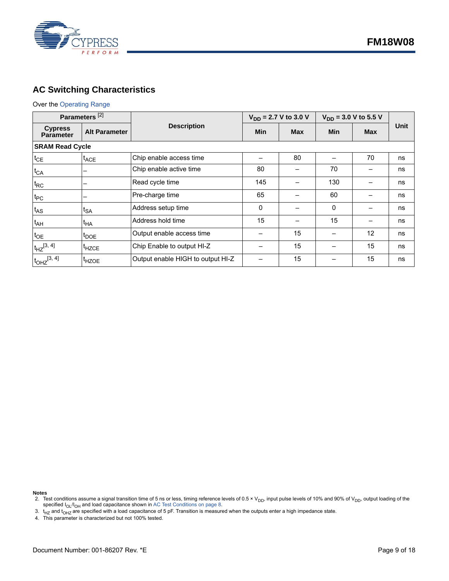

## <span id="page-8-0"></span>**AC Switching Characteristics**

#### Over the [Operating Range](#page-6-2)

<span id="page-8-1"></span>

| Parameters <sup>[2]</sup>          |                      |                                   | $V_{DD}$ = 2.7 V to 3.0 V |            | $V_{DD}$ = 3.0 V to 5.5 V |            |             |
|------------------------------------|----------------------|-----------------------------------|---------------------------|------------|---------------------------|------------|-------------|
| <b>Cypress</b><br><b>Parameter</b> | <b>Alt Parameter</b> | <b>Description</b>                | Min                       | <b>Max</b> | <b>Min</b>                | <b>Max</b> | <b>Unit</b> |
| <b>SRAM Read Cycle</b>             |                      |                                   |                           |            |                           |            |             |
| $t_{CE}$                           | $t_{ACE}$            | Chip enable access time           |                           | 80         |                           | 70         | ns          |
| $t_{CA}$                           | -                    | Chip enable active time           | 80                        |            | 70                        |            | ns          |
| $t_{RC}$                           | -                    | Read cycle time                   | 145                       |            | 130                       |            | ns          |
| $t_{PC}$                           |                      | Pre-charge time                   | 65                        |            | 60                        |            | ns          |
| $t_{AS}$                           | $t_{SA}$             | Address setup time                | 0                         |            | $\Omega$                  |            | ns          |
| $t_{AH}$                           | $t_{HA}$             | Address hold time                 | 15                        |            | 15                        |            | ns          |
| $t_{OE}$                           | $t_{\text{DOE}}$     | Output enable access time         |                           | 15         |                           | 12         | ns          |
| $t_{HZ}^{[3, 4]}$                  | <sup>t</sup> HZCE    | Chip Enable to output HI-Z        |                           | 15         |                           | 15         | ns          |
| $t_{\text{OHZ}}^{[3, 4]}$          | <sup>t</sup> HZOE    | Output enable HIGH to output HI-Z |                           | 15         |                           | 15         | ns          |

**Notes**

<span id="page-8-2"></span><sup>2.</sup> Test conditions assume a signal transition time of 5 ns or less, timing reference levels of 0.5 × V<sub>DD</sub>, input pulse levels of 10% and 90% of V<sub>DD</sub>, output loading of the specified  $I_{OL}/I_{OH}$  and load capacitance shown in [AC Test Conditions on page 8.](#page-7-2)

<span id="page-8-3"></span><sup>3.</sup> t<sub>HZ</sub> and t<sub>OHZ</sub> are specified with a load capacitance of 5 pF. Transition is measured when the outputs enter a high impedance state.<br>4. This parameter is characterized but not 100% tested.

<span id="page-8-4"></span>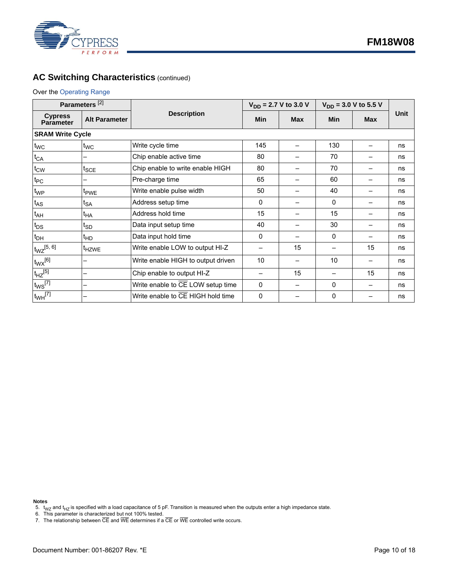

## **AC Switching Characteristics (continued)**

#### Over the Operating Range

<span id="page-9-0"></span>

| Parameters <sup>[2]</sup>          |                             |                                    | $V_{DD}$ = 2.7 V to 3.0 V |            | $V_{DD}$ = 3.0 V to 5.5 V |            |      |
|------------------------------------|-----------------------------|------------------------------------|---------------------------|------------|---------------------------|------------|------|
| <b>Cypress</b><br><b>Parameter</b> | <b>Alt Parameter</b>        | <b>Description</b>                 | <b>Min</b>                | <b>Max</b> | <b>Min</b>                | <b>Max</b> | Unit |
| <b>SRAM Write Cycle</b>            |                             |                                    |                           |            |                           |            |      |
| $t_{WC}$                           | $t_{\text{WC}}$             | Write cycle time                   | 145                       |            | 130                       |            | ns   |
| $t_{CA}$                           |                             | Chip enable active time            | 80                        |            | 70                        |            | ns   |
| $t_{\text{CW}}$                    | $t_{\sf SCE}$               | Chip enable to write enable HIGH   | 80                        |            | 70                        |            | ns   |
| $t_{PC}$                           |                             | Pre-charge time                    | 65                        |            | 60                        |            | ns   |
| t <sub>WP</sub>                    | <sup>t</sup> <sub>PWE</sub> | Write enable pulse width           | 50                        |            | 40                        |            | ns   |
| $t_{AS}$                           | t <sub>SA</sub>             | Address setup time                 | $\Omega$                  |            | 0                         |            | ns   |
| $t_{AH}$                           | t <sub>НА</sub>             | Address hold time                  | 15                        |            | 15                        |            | ns   |
| $t_{DS}$                           | t <sub>SD</sub>             | Data input setup time              | 40                        |            | 30                        |            | ns   |
| $t_{DH}$                           | t <sub>HD</sub>             | Data input hold time               | $\Omega$                  |            | $\Omega$                  |            | ns   |
| $t_{\text{WZ}}{}^{[5,\;6]}$        | <sup>t</sup> HZWE           | Write enable LOW to output HI-Z    | -                         | 15         |                           | 15         | ns   |
| $t_{WX}$ [6]                       | —                           | Write enable HIGH to output driven | 10                        |            | 10                        |            | ns   |
| $t_{HZ}$ [5]                       | —                           | Chip enable to output HI-Z         |                           | 15         |                           | 15         | ns   |
| $t_{WS}$ <sup>[7]</sup>            | —                           | Write enable to CE LOW setup time  | 0                         |            | 0                         |            | ns   |
| $\text{t}_{WH}$ <sup>[7]</sup>     | -                           | Write enable to CE HIGH hold time  | $\Omega$                  |            | 0                         |            | ns   |

**Notes**

- <span id="page-9-2"></span>
- <span id="page-9-3"></span>7. The relationship between CE and WE determines if a CE or WE controlled write occurs.

<span id="page-9-1"></span><sup>5.</sup> t<sub>WZ</sub> and t<sub>HZ</sub> is specified with a load capacitance of 5 pF. Transition is measured when the outputs enter a high impedance state.<br>6. This parameter is characterized but not 100% tested.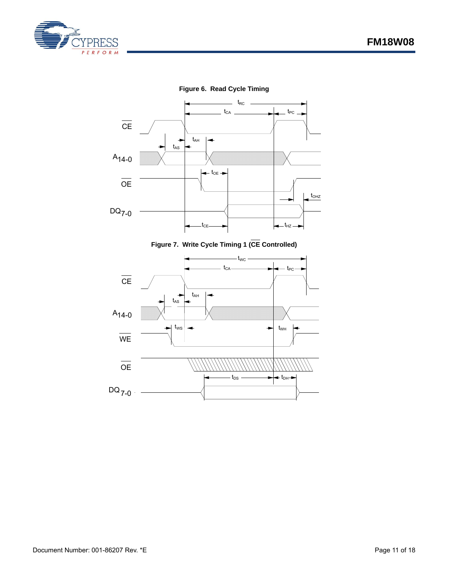



**Figure 7. Write Cycle Timing 1 (CE Controlled)**

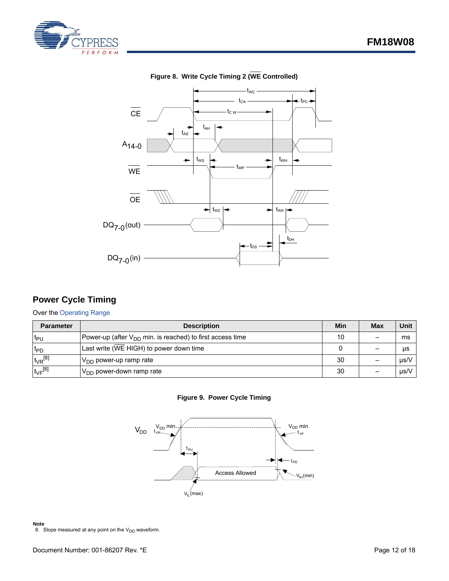

<span id="page-11-2"></span>



## **Figure 8. Write Cycle Timing 2 (WE Controlled)**

## <span id="page-11-0"></span>**Power Cycle Timing**

#### Over the [Operating Range](#page-6-2)

<span id="page-11-1"></span>

| <b>Parameter</b>      | <b>Description</b>                                             | Min | <b>Max</b> | Unit |
|-----------------------|----------------------------------------------------------------|-----|------------|------|
| lt <sub>PU</sub>      | Power-up (after $V_{DD}$ min. is reached) to first access time |     |            | ms   |
| $t_{\text{PD}}$       | Last write (WE HIGH) to power down time                        |     |            | μs   |
| $t_{VR}^{[8]}$        | $V_{DD}$ power-up ramp rate                                    | 30  |            | µs/V |
| $t_{\text{VF}}^{[8]}$ | $V_{DD}$ power-down ramp rate                                  | 30  |            | µs/V |

#### **Figure 9. Power Cycle Timing**



#### **Note**

<span id="page-11-3"></span>8. Slope measured at any point on the  $V_{DD}$  waveform.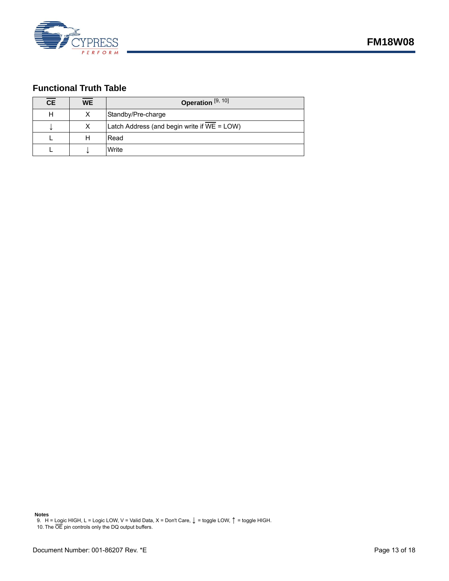

## <span id="page-12-0"></span>**Functional Truth Table**

| <b>CE</b> | <b>WE</b> | Operation <sup>[9, 10]</sup>                |
|-----------|-----------|---------------------------------------------|
|           |           | Standby/Pre-charge                          |
|           | x         | Latch Address (and begin write if WE = LOW) |
|           | н         | Read                                        |
|           |           | Write                                       |

<span id="page-12-1"></span>**Notes**<br> 9. H = Logic HIGH, L = Logic LOW, V = Valid Data, X = Don't Care, ↓ = toggle LOW, ↑ = toggle HIGH.

<span id="page-12-2"></span>10. The OE pin controls only the DQ output buffers.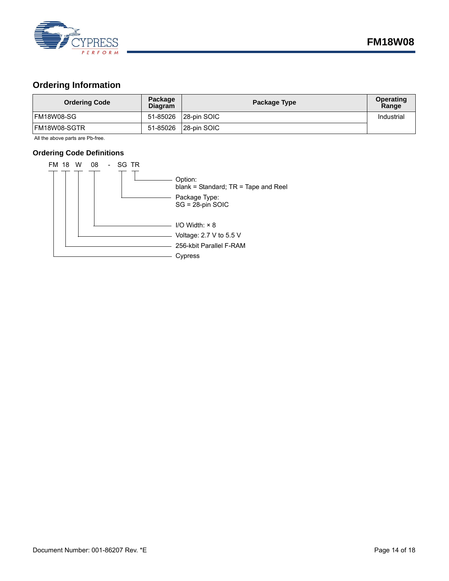

## <span id="page-13-0"></span>**Ordering Information**

| <b>Ordering Code</b> | Package<br><b>Diagram</b> | Package Type | <b>Operating</b><br>Range |
|----------------------|---------------------------|--------------|---------------------------|
| FM18W08-SG           | 51-85026                  | 28-pin SOIC  | Industrial                |
| IFM18W08-SGTR        | 51-85026                  | 28-pin SOIC  |                           |

All the above parts are Pb-free.

#### <span id="page-13-1"></span>**Ordering Code Definitions**

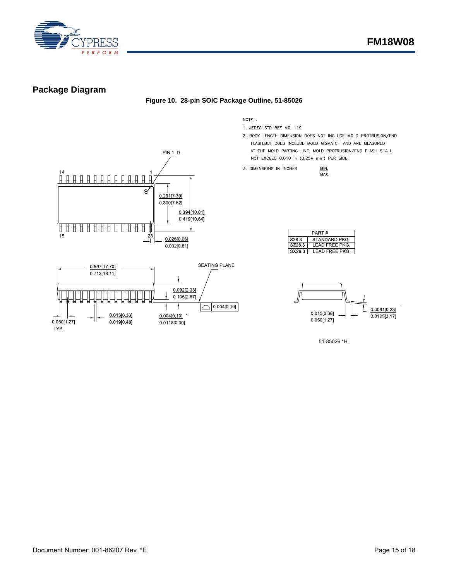

## <span id="page-14-0"></span>**Package Diagram**





NOTE:

- 1. JEDEC STD REF MO-119
- 2. BODY LENGTH DIMENSION DOES NOT INCLUDE MOLD PROTRUSION/END FLASH, BUT DOES INCLUDE MOLD MISMATCH AND ARE MEASURED AT THE MOLD PARTING LINE. MOLD PROTRUSION/END FLASH SHALL NOT EXCEED 0.010 in (0.254 mm) PER SIDE

 $MIN$ 

MAX.

3. DIMENSIONS IN INCHES

| PART#             |                |  |  |
|-------------------|----------------|--|--|
| S <sub>28</sub> 3 | STANDARD PKG.  |  |  |
| SZ283             | I FAD FRFF PKG |  |  |
| SX283             | LEAD FREE PKG  |  |  |



51-85026 \*H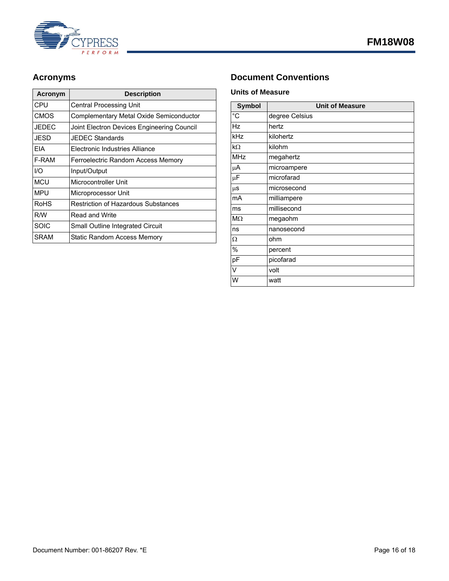

| Acronym     | <b>Description</b>                         |
|-------------|--------------------------------------------|
| CPU         | <b>Central Processing Unit</b>             |
| <b>CMOS</b> | Complementary Metal Oxide Semiconductor    |
| JEDEC       | Joint Electron Devices Engineering Council |
| JESD        | JFDFC Standards                            |
| FIA         | Electronic Industries Alliance             |
| F-RAM       | Ferroelectric Random Access Memory         |
| 1/O         | Input/Output                               |
| MCU         | Microcontroller Unit                       |
| <b>MPU</b>  | Microprocessor Unit                        |
| RoHS        | <b>Restriction of Hazardous Substances</b> |
| R/W         | Read and Write                             |
| SOIC        | Small Outline Integrated Circuit           |
| SRAM        | Static Random Access Memory                |

## <span id="page-15-0"></span>Acronyms **Document Conventions**

#### <span id="page-15-2"></span><span id="page-15-1"></span>**Units of Measure**

| <b>Symbol</b>  | <b>Unit of Measure</b> |
|----------------|------------------------|
| $\overline{C}$ | degree Celsius         |
| Hz             | hertz                  |
| kHz            | kilohertz              |
| $k\Omega$      | kilohm                 |
| <b>MHz</b>     | megahertz              |
| μA             | microampere            |
| μF             | microfarad             |
| $\mu$ S        | microsecond            |
| mA             | milliampere            |
| ms             | millisecond            |
| $M\Omega$      | megaohm                |
| ns             | nanosecond             |
| Ω              | ohm                    |
| %              | percent                |
| pF             | picofarad              |
| V              | volt                   |
| W              | watt                   |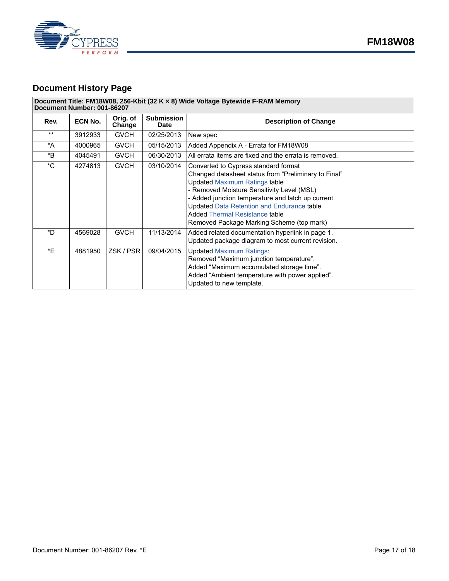

## <span id="page-16-0"></span>**Document History Page**

#### **Document Title: FM18W08, 256-Kbit (32 K × 8) Wide Voltage Bytewide F-RAM Memory Document Number: 001-86207**

| Rev.         | ECN No. | Orig. of<br>Change | <b>Submission</b><br><b>Date</b> | <b>Description of Change</b>                                                                                                                                                                                                                                                                                                                                                       |
|--------------|---------|--------------------|----------------------------------|------------------------------------------------------------------------------------------------------------------------------------------------------------------------------------------------------------------------------------------------------------------------------------------------------------------------------------------------------------------------------------|
| $***$        | 3912933 | <b>GVCH</b>        | 02/25/2013                       | New spec                                                                                                                                                                                                                                                                                                                                                                           |
| *A           | 4000965 | <b>GVCH</b>        | 05/15/2013                       | Added Appendix A - Errata for FM18W08                                                                                                                                                                                                                                                                                                                                              |
| *B           | 4045491 | <b>GVCH</b>        | 06/30/2013                       | All errata items are fixed and the errata is removed.                                                                                                                                                                                                                                                                                                                              |
| $^{\star}$ C | 4274813 | <b>GVCH</b>        | 03/10/2014                       | Converted to Cypress standard format<br>Changed datasheet status from "Preliminary to Final"<br><b>Updated Maximum Ratings table</b><br>- Removed Moisture Sensitivity Level (MSL)<br>- Added junction temperature and latch up current<br><b>Updated Data Retention and Endurance table</b><br><b>Added Thermal Resistance table</b><br>Removed Package Marking Scheme (top mark) |
| *D           | 4569028 | <b>GVCH</b>        | 11/13/2014                       | Added related documentation hyperlink in page 1.<br>Updated package diagram to most current revision.                                                                                                                                                                                                                                                                              |
| *F           | 4881950 | ZSK / PSR          | 09/04/2015                       | <b>Updated Maximum Ratings:</b><br>Removed "Maximum junction temperature".<br>Added "Maximum accumulated storage time".<br>Added "Ambient temperature with power applied".<br>Updated to new template.                                                                                                                                                                             |